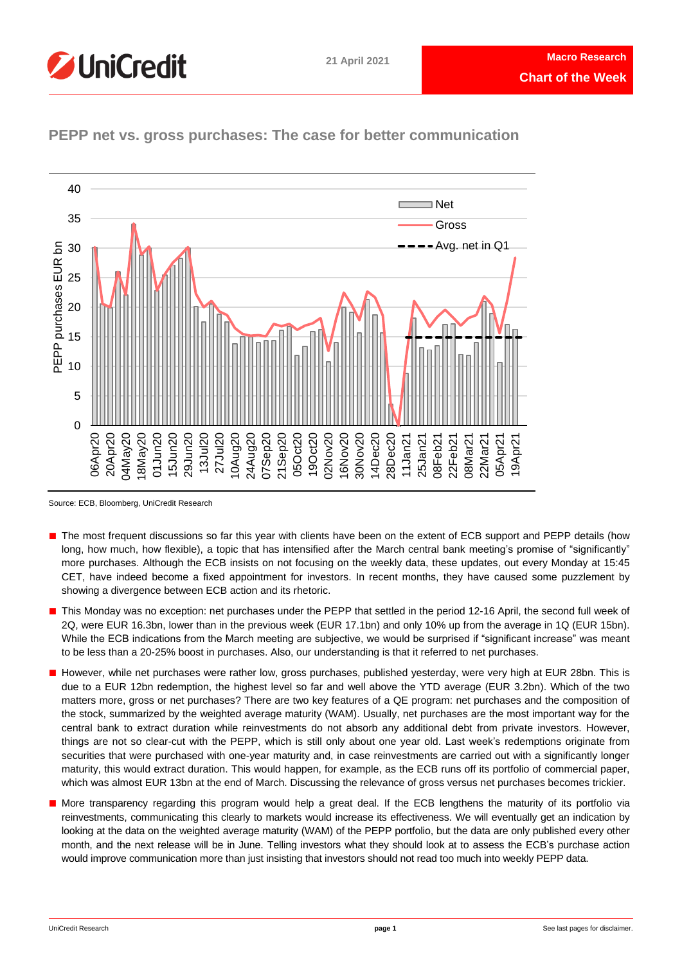



**PEPP net vs. gross purchases: The case for better communication**

- The most frequent discussions so far this year with clients have been on the extent of ECB support and PEPP details (how long, how much, how flexible), a topic that has intensified after the March central bank meeting's promise of "significantly" more purchases. Although the ECB insists on not focusing on the weekly data, these updates, out every Monday at 15:45 CET, have indeed become a fixed appointment for investors. In recent months, they have caused some puzzlement by showing a divergence between ECB action and its rhetoric.
- This Monday was no exception: net purchases under the PEPP that settled in the period 12-16 April, the second full week of 2Q, were EUR 16.3bn, lower than in the previous week (EUR 17.1bn) and only 10% up from the average in 1Q (EUR 15bn). While the ECB indications from the March meeting are subjective, we would be surprised if "significant increase" was meant to be less than a 20-25% boost in purchases. Also, our understanding is that it referred to net purchases.
- However, while net purchases were rather low, gross purchases, published yesterday, were very high at EUR 28bn. This is due to a EUR 12bn redemption, the highest level so far and well above the YTD average (EUR 3.2bn). Which of the two matters more, gross or net purchases? There are two key features of a QE program: net purchases and the composition of the stock, summarized by the weighted average maturity (WAM). Usually, net purchases are the most important way for the central bank to extract duration while reinvestments do not absorb any additional debt from private investors. However, things are not so clear-cut with the PEPP, which is still only about one year old. Last week's redemptions originate from securities that were purchased with one-year maturity and, in case reinvestments are carried out with a significantly longer maturity, this would extract duration. This would happen, for example, as the ECB runs off its portfolio of commercial paper, which was almost EUR 13bn at the end of March. Discussing the relevance of gross versus net purchases becomes trickier.
- More transparency regarding this program would help a great deal. If the ECB lengthens the maturity of its portfolio via reinvestments, communicating this clearly to markets would increase its effectiveness. We will eventually get an indication by looking at the data on the weighted average maturity (WAM) of the PEPP portfolio, but the data are only published every other month, and the next release will be in June. Telling investors what they should look at to assess the ECB's purchase action would improve communication more than just insisting that investors should not read too much into weekly PEPP data.

Source: ECB, Bloomberg, UniCredit Research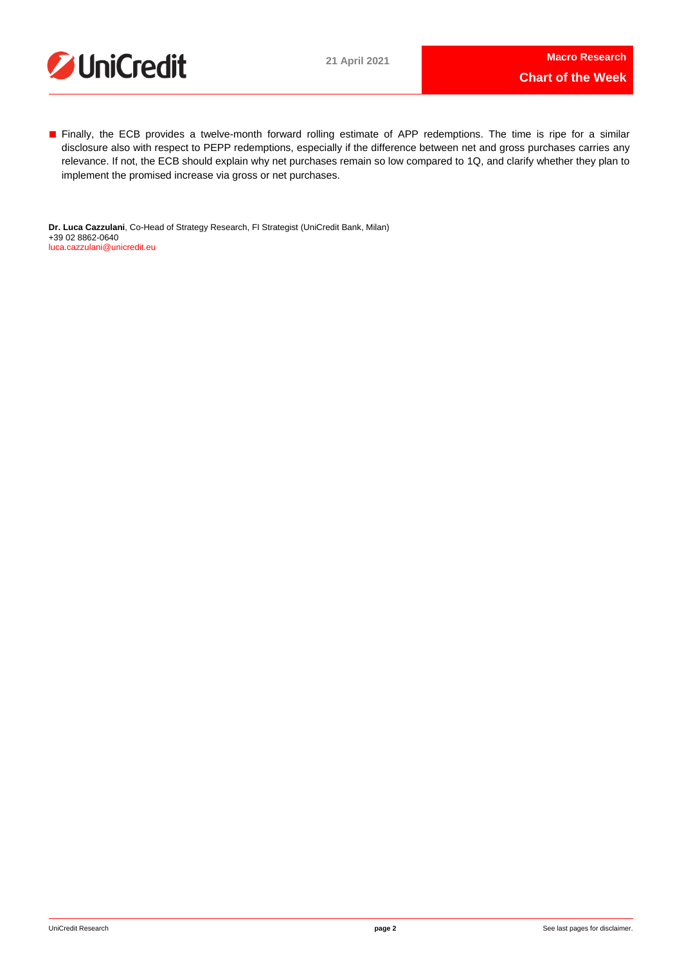

■ Finally, the ECB provides a twelve-month forward rolling estimate of APP redemptions. The time is ripe for a similar disclosure also with respect to PEPP redemptions, especially if the difference between net and gross purchases carries any relevance. If not, the ECB should explain why net purchases remain so low compared to 1Q, and clarify whether they plan to implement the promised increase via gross or net purchases.

**Dr. Luca Cazzulani**, Co-Head of Strategy Research, FI Strategist (UniCredit Bank, Milan) +39 02 8862-0640 [luca.cazzulani@unicredit.eu](mailto:luca.cazzulani@unicredit.eu)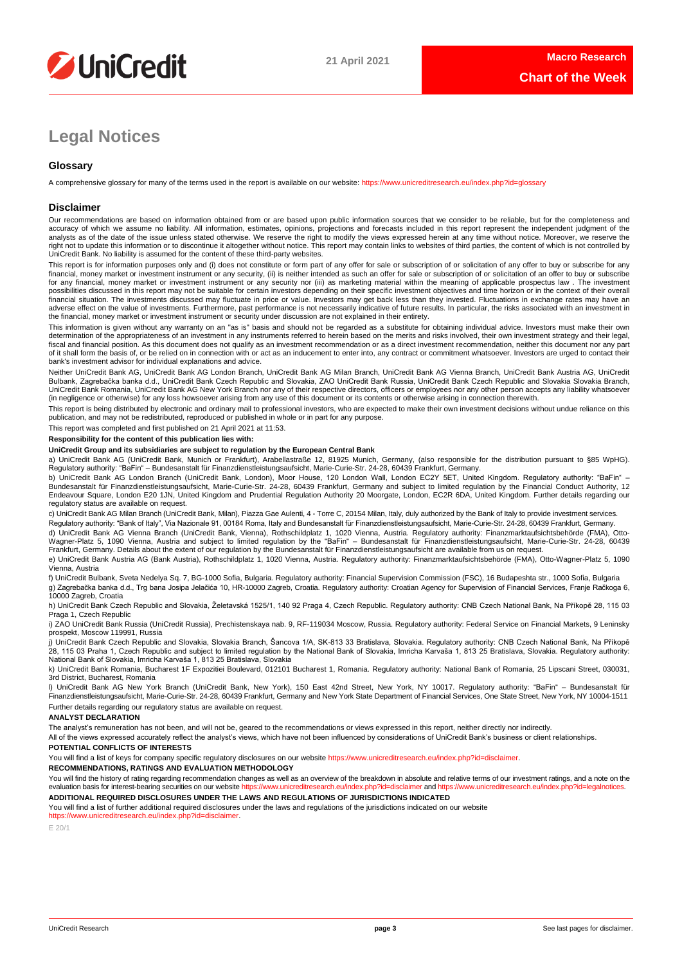

# **Legal Notices**

## **Glossary**

A comprehensive glossary for many of the terms used in the report is available on our website:<https://www.unicreditresearch.eu/index.php?id=glossary>

## **Disclaimer**

Our recommendations are based on information obtained from or are based upon public information sources that we consider to be reliable, but for the completeness and<br>accuracy of which we assume no liability. All informatio analysts as of the date of the issue unless stated otherwise. We reserve the right to modify the views expressed herein at any time without notice. Moreover, we reserve the right not to update this information or to discontinue it altogether without notice. This report may contain links to websites of third parties, the content of which is not controlled by<br>UniCredit Bank. No liability is ass

This report is for information purposes only and (i) does not constitute or form part of any offer for sale or subscription of or solicitation of any offer to buy or subscribe for any<br>financial, money market or investment for any financial, money market or investment instrument or any security nor (iii) as marketing material within the meaning of applicable prospectus law . The investment possibilities discussed in this report may not be suitable for certain investors depending on their specific investment objectives and time horizon or in the context of their overall<br>financial situation. The investments di adverse effect on the value of investments. Furthermore, past performance is not necessarily indicative of future results. In particular, the risks associated with an investment in the financial, money market or investment instrument or security under discussion are not explained in their entirety.

This information is given without any warranty on an "as is" basis and should not be regarded as a substitute for obtaining individual advice. Investors must make their own determination of the appropriateness of an investment in any instruments referred to herein based on the merits and risks involved, their own investment strategy and their legal, fiscal and financial position. As this document does not qualify as an investment recommendation or as a direct investment recommendation, neither this document nor any part of it shall form the basis of, or be relied on in connection with or act as an inducement to enter into, any contract or commitment whatsoever. Investors are urged to contact their bank's investment advisor for individual explanations and advice.

Neither UniCredit Bank AG, UniCredit Bank AG London Branch, UniCredit Bank AG Milan Branch, UniCredit Bank AG Vienna Branch, UniCredit Bank Austria AG, UniCredit Bulbank, Zagrebačka banka d.d., UniCredit Bank Czech Republic and Slovakia, ZAO UniCredit Bank Russia, UniCredit Bank Czech Republic and Slovakia Slovakia Branch,<br>UniCredit Bank Romania, UniCredit Bank AG New York Branch n (in negligence or otherwise) for any loss howsoever arising from any use of this document or its contents or otherwise arising in connection therewith.

This report is being distributed by electronic and ordinary mail to professional investors, who are expected to make their own investment decisions without undue reliance on this publication, and may not be redistributed, reproduced or published in whole or in part for any purpose.

This report was completed and first published on 21 April 2021 at 11:53.

## **Responsibility for the content of this publication lies with:**

## **UniCredit Group and its subsidiaries are subject to regulation by the European Central Bank**

a) UniCredit Bank AG (UniCredit Bank, Munich or Frankfurt), Arabellastraße 12, 81925 Munich, Germany, (also responsible for the distribution pursuant to §85 WpHG). Regulatory authority: "BaFin" – Bundesanstalt für Finanzdienstleistungsaufsicht, Marie-Curie-Str. 24-28, 60439 Frankfurt, Germany.

b) UniCredit Bank AG London Branch (UniCredit Bank, London), Moor House, 120 London Wall, London EC2Y 5ET, United Kingdom. Regulatory authority: "BaFin" –<br>Bundesanstalt für Finanzdienstleistungsaufsicht, Marie-Curie-Str. 2 regulatory status are available on request.

c) UniCredit Bank AG Milan Branch (UniCredit Bank, Milan), Piazza Gae Aulenti, 4 - Torre C, 20154 Milan, Italy, duly authorized by the Bank of Italy to provide investment services. Regulatory authority: "Bank of Italy", Via Nazionale 91, 00184 Roma, Italy and Bundesanstalt für Finanzdienstleistungsaufsicht, Marie-Curie-Str. 24-28, 60439 Frankfurt, Germany.

d) UniCredit Bank AG Vienna Branch (UniCredit Bank, Vienna), Rothschildplatz 1, 1020 Vienna, Austria. Regulatory authority: Finanzmarktaufsichtsbehörde (FMA), Otto-Wagner-Platz 5, 1090 Vienna, Austria and subject to limited regulation by the "BaFin" – Bundesanstalt für Finanzdienstleistungsaufsicht, Marie-Curie-Str. 24-28, 60439<br>Frankfurt, Germany. Details about the extent of our reg

e) UniCredit Bank Austria AG (Bank Austria), Rothschildplatz 1, 1020 Vienna, Austria. Regulatory authority: Finanzmarktaufsichtsbehörde (FMA), Otto-Wagner-Platz 5, 1090 Vienna, Austria

f) UniCredit Bulbank, Sveta Nedelya Sq. 7, BG-1000 Sofia, Bulgaria. Regulatory authority: Financial Supervision Commission (FSC), 16 Budapeshta str., 1000 Sofia, Bulgaria g) Zagrebačka banka d.d., Trg bana Josipa Jelačića 10, HR-10000 Zagreb, Croatia. Regulatory authority: Croatian Agency for Supervision of Financial Services, Franje Račkoga 6, 10000 Zagreb, Croatia

h) UniCredit Bank Czech Republic and Slovakia, Želetavská 1525/1, 140 92 Praga 4, Czech Republic. Regulatory authority: CNB Czech National Bank, Na Příkopě 28, 115 03 Praga 1, Czech Republic

i) ZAO UniCredit Bank Russia (UniCredit Russia), Prechistenskaya nab. 9, RF-119034 Moscow, Russia. Regulatory authority: Federal Service on Financial Markets, 9 Leninsky prospekt, Moscow 119991, Russia

j) UniCredit Bank Czech Republic and Slovakia, Slovakia Branch, Šancova 1/A, SK-813 33 Bratislava, Slovakia. Regulatory authority: CNB Czech National Bank, Na Příkopě 28, 115 03 Praha 1, Czech Republic and subject to limited regulation by the National Bank of Slovakia, Imricha Karvaša 1, 813 25 Bratislava, Slovakia. Regulatory authority:<br>National Bank of Slovakia, Imricha Karvaša 1, 813

k) UniCredit Bank Romania, Bucharest 1F Expozitiei Boulevard, 012101 Bucharest 1, Romania. Regulatory authority: National Bank of Romania, 25 Lipscani Street, 030031, 3rd District, Bucharest, Romania

l) UniCredit Bank AG New York Branch (UniCredit Bank, New York), 150 East 42nd Street, New York, NY 10017. Regulatory authority: "BaFin" – Bundesanstalt für Finanzdienstleistungsaufsicht, Marie-Curie-Str. 24-28, 60439 Frankfurt, Germany and New York State Department of Financial Services, One State Street, New York, NY 10004-1511 Further details regarding our regulatory status are available on request.

## **ANALYST DECLARATION**

The analyst's remuneration has not been, and will not be, geared to the recommendations or views expressed in this report, neither directly nor indirectly.

All of the views expressed accurately reflect the analyst's views, which have not been influenced by considerations of UniCredit Bank's business or client relationships.

## **POTENTIAL CONFLICTS OF INTERESTS**

You will find a list of keys for company specific regulatory disclosures on our website https://www.unicreditresearch.eu/index.php?id=disclaimer

**RECOMMENDATIONS, RATINGS AND EVALUATION METHODOLOGY** 

You will find the history of rating regarding recommendation changes as well as an overview of the breakdown in absolute and relative terms of our investment ratings, and a note on the evaluation basis for interest-bearing evaluation basis for interest-bearing securities on our website https://www.unicreditresearch.eu/index.php?id= **ADDITIONAL REQUIRED DISCLOSURES UNDER THE LAWS AND REGULATIONS OF JURISDICTIONS INDICATED**

You will find a list of further additional required disclosures under the laws and requlations of the jurisdictions indicated on our website

[https://www.unicreditresearch.eu/index.php?id=disclaimer.](https://www.unicreditresearch.eu/index.php?id=disclaimer) 

E 20/1